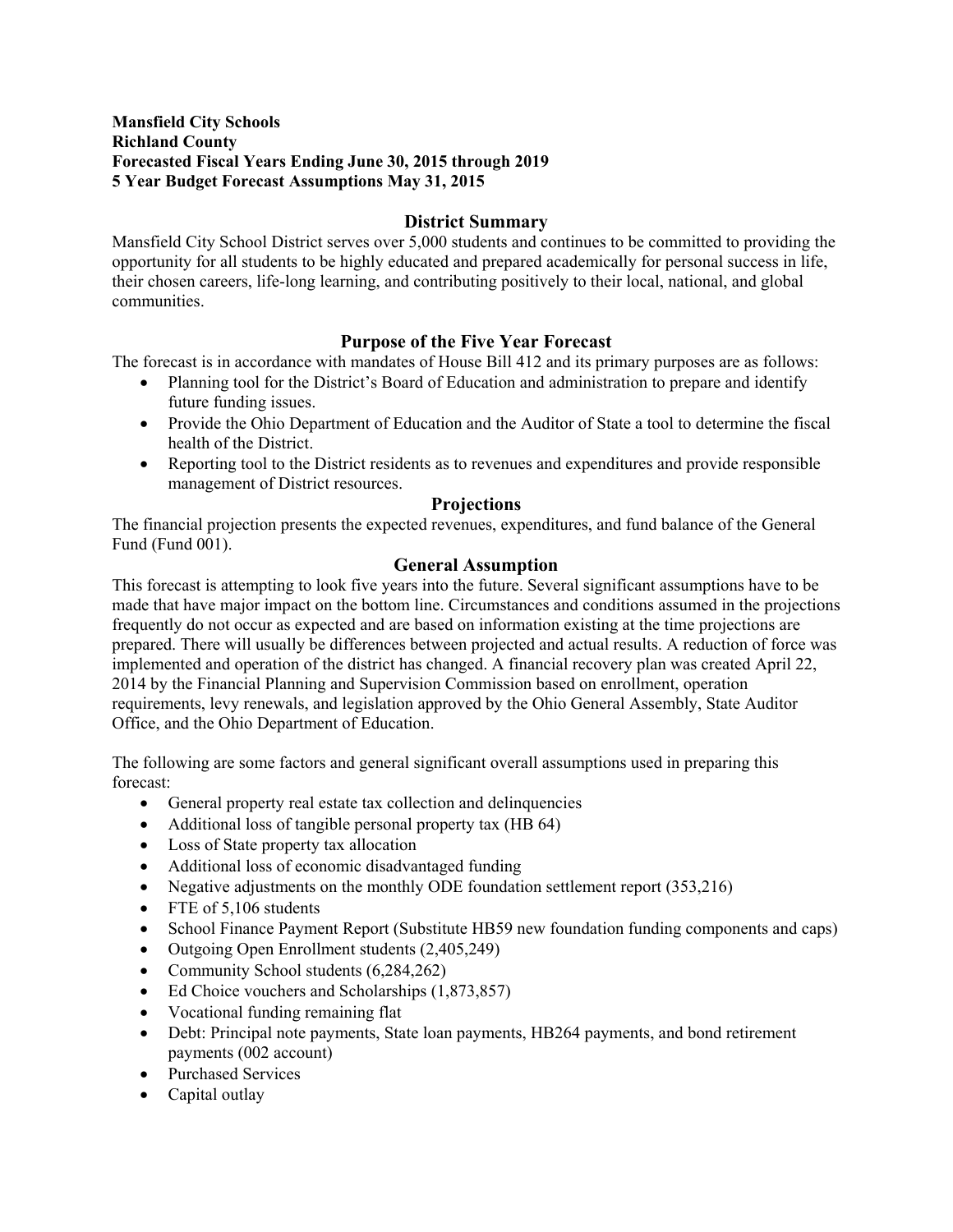## **Mansfield City Schools Richland County Forecasted Fiscal Years Ending June 30, 2015 through 2019 5 Year Budget Forecast Assumptions May 31, 2015**

# **District Summary**

Mansfield City School District serves over 5,000 students and continues to be committed to providing the opportunity for all students to be highly educated and prepared academically for personal success in life, their chosen careers, life-long learning, and contributing positively to their local, national, and global communities.

# **Purpose of the Five Year Forecast**

The forecast is in accordance with mandates of House Bill 412 and its primary purposes are as follows:

- Planning tool for the District's Board of Education and administration to prepare and identify future funding issues.
- Provide the Ohio Department of Education and the Auditor of State a tool to determine the fiscal health of the District.
- Reporting tool to the District residents as to revenues and expenditures and provide responsible management of District resources.

# **Projections**

The financial projection presents the expected revenues, expenditures, and fund balance of the General Fund (Fund 001).

# **General Assumption**

This forecast is attempting to look five years into the future. Several significant assumptions have to be made that have major impact on the bottom line. Circumstances and conditions assumed in the projections frequently do not occur as expected and are based on information existing at the time projections are prepared. There will usually be differences between projected and actual results. A reduction of force was implemented and operation of the district has changed. A financial recovery plan was created April 22, 2014 by the Financial Planning and Supervision Commission based on enrollment, operation requirements, levy renewals, and legislation approved by the Ohio General Assembly, State Auditor Office, and the Ohio Department of Education.

The following are some factors and general significant overall assumptions used in preparing this forecast:

- General property real estate tax collection and delinquencies
- Additional loss of tangible personal property tax (HB 64)
- Loss of State property tax allocation
- Additional loss of economic disadvantaged funding
- Negative adjustments on the monthly ODE foundation settlement report (353,216)
- FTE of 5,106 students
- School Finance Payment Report (Substitute HB59 new foundation funding components and caps)
- Outgoing Open Enrollment students (2,405,249)
- Community School students (6,284,262)
- Ed Choice vouchers and Scholarships (1,873,857)
- Vocational funding remaining flat
- Debt: Principal note payments, State loan payments, HB264 payments, and bond retirement payments (002 account)
- Purchased Services
- Capital outlay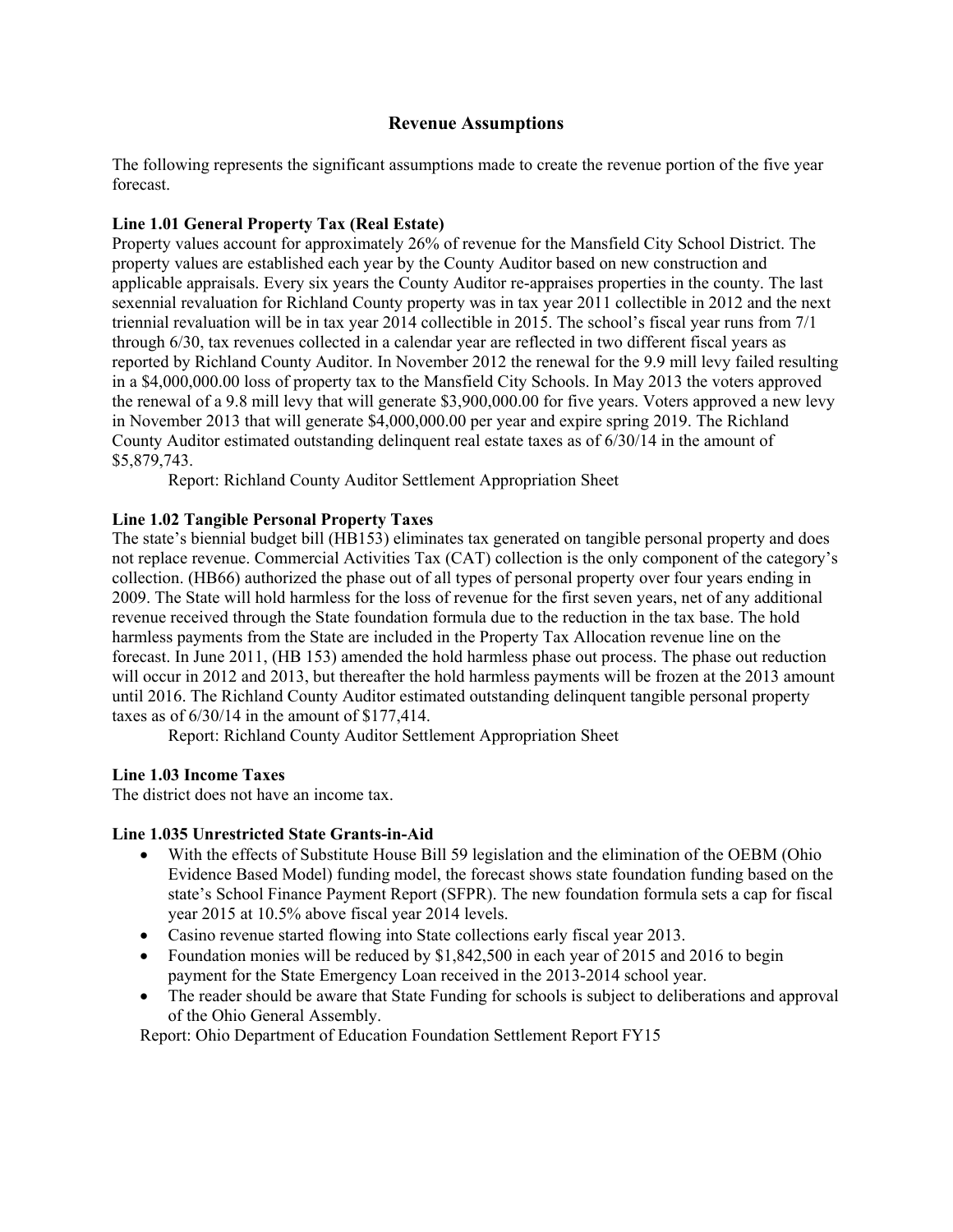## **Revenue Assumptions**

The following represents the significant assumptions made to create the revenue portion of the five year forecast.

## **Line 1.01 General Property Tax (Real Estate)**

Property values account for approximately 26% of revenue for the Mansfield City School District. The property values are established each year by the County Auditor based on new construction and applicable appraisals. Every six years the County Auditor re-appraises properties in the county. The last sexennial revaluation for Richland County property was in tax year 2011 collectible in 2012 and the next triennial revaluation will be in tax year 2014 collectible in 2015. The school's fiscal year runs from 7/1 through 6/30, tax revenues collected in a calendar year are reflected in two different fiscal years as reported by Richland County Auditor. In November 2012 the renewal for the 9.9 mill levy failed resulting in a \$4,000,000.00 loss of property tax to the Mansfield City Schools. In May 2013 the voters approved the renewal of a 9.8 mill levy that will generate \$3,900,000.00 for five years. Voters approved a new levy in November 2013 that will generate \$4,000,000.00 per year and expire spring 2019. The Richland County Auditor estimated outstanding delinquent real estate taxes as of 6/30/14 in the amount of \$5,879,743.

Report: Richland County Auditor Settlement Appropriation Sheet

## **Line 1.02 Tangible Personal Property Taxes**

The state's biennial budget bill (HB153) eliminates tax generated on tangible personal property and does not replace revenue. Commercial Activities Tax (CAT) collection is the only component of the category's collection. (HB66) authorized the phase out of all types of personal property over four years ending in 2009. The State will hold harmless for the loss of revenue for the first seven years, net of any additional revenue received through the State foundation formula due to the reduction in the tax base. The hold harmless payments from the State are included in the Property Tax Allocation revenue line on the forecast. In June 2011, (HB 153) amended the hold harmless phase out process. The phase out reduction will occur in 2012 and 2013, but thereafter the hold harmless payments will be frozen at the 2013 amount until 2016. The Richland County Auditor estimated outstanding delinquent tangible personal property taxes as of 6/30/14 in the amount of \$177,414.

Report: Richland County Auditor Settlement Appropriation Sheet

# **Line 1.03 Income Taxes**

The district does not have an income tax.

## **Line 1.035 Unrestricted State Grants-in-Aid**

- With the effects of Substitute House Bill 59 legislation and the elimination of the OEBM (Ohio Evidence Based Model) funding model, the forecast shows state foundation funding based on the state's School Finance Payment Report (SFPR). The new foundation formula sets a cap for fiscal year 2015 at 10.5% above fiscal year 2014 levels.
- Casino revenue started flowing into State collections early fiscal year 2013.
- Foundation monies will be reduced by \$1,842,500 in each year of 2015 and 2016 to begin payment for the State Emergency Loan received in the 2013-2014 school year.
- The reader should be aware that State Funding for schools is subject to deliberations and approval of the Ohio General Assembly.

Report: Ohio Department of Education Foundation Settlement Report FY15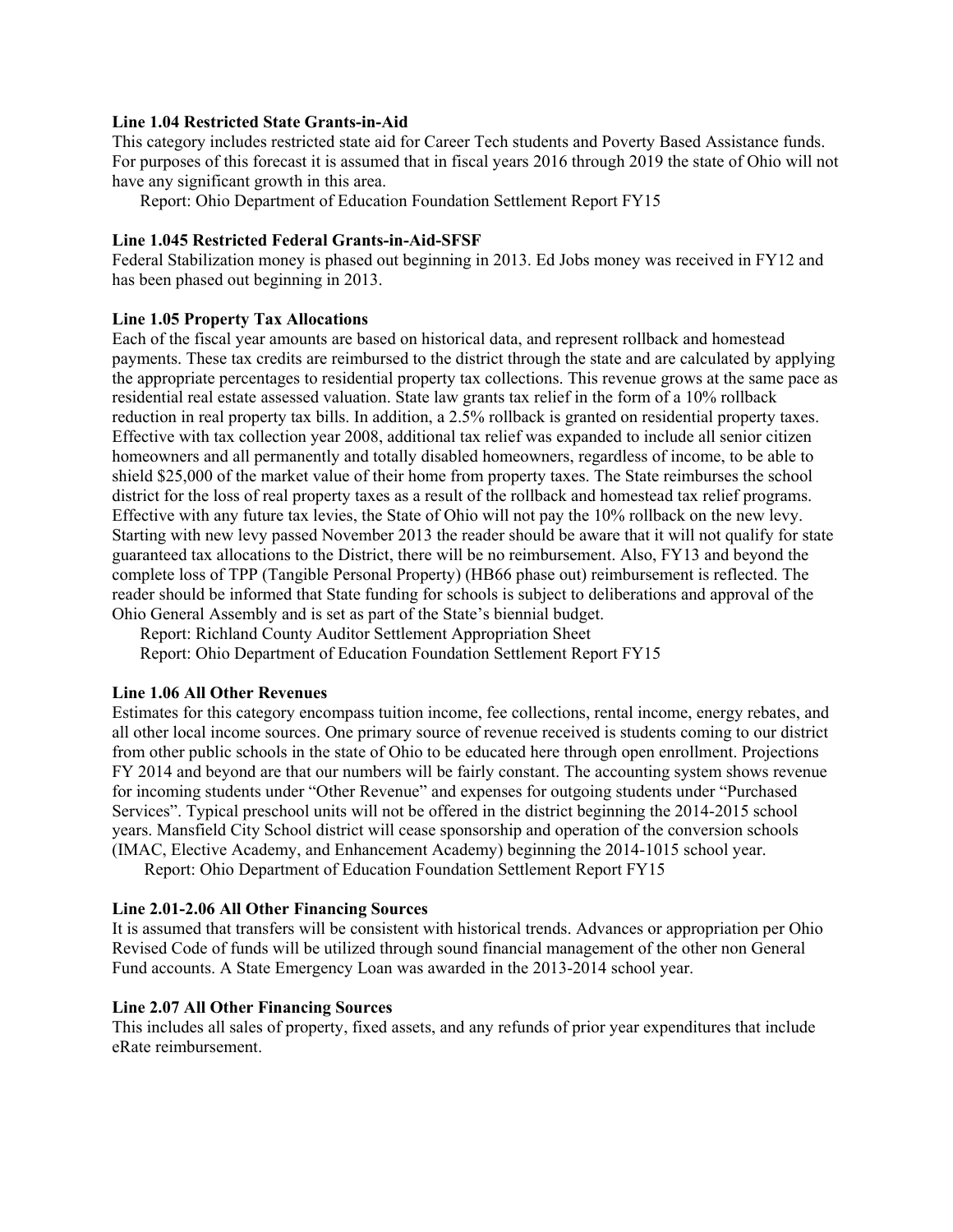#### **Line 1.04 Restricted State Grants-in-Aid**

This category includes restricted state aid for Career Tech students and Poverty Based Assistance funds. For purposes of this forecast it is assumed that in fiscal years 2016 through 2019 the state of Ohio will not have any significant growth in this area.

Report: Ohio Department of Education Foundation Settlement Report FY15

#### **Line 1.045 Restricted Federal Grants-in-Aid-SFSF**

Federal Stabilization money is phased out beginning in 2013. Ed Jobs money was received in FY12 and has been phased out beginning in 2013.

#### **Line 1.05 Property Tax Allocations**

Each of the fiscal year amounts are based on historical data, and represent rollback and homestead payments. These tax credits are reimbursed to the district through the state and are calculated by applying the appropriate percentages to residential property tax collections. This revenue grows at the same pace as residential real estate assessed valuation. State law grants tax relief in the form of a 10% rollback reduction in real property tax bills. In addition, a 2.5% rollback is granted on residential property taxes. Effective with tax collection year 2008, additional tax relief was expanded to include all senior citizen homeowners and all permanently and totally disabled homeowners, regardless of income, to be able to shield \$25,000 of the market value of their home from property taxes. The State reimburses the school district for the loss of real property taxes as a result of the rollback and homestead tax relief programs. Effective with any future tax levies, the State of Ohio will not pay the 10% rollback on the new levy. Starting with new levy passed November 2013 the reader should be aware that it will not qualify for state guaranteed tax allocations to the District, there will be no reimbursement. Also, FY13 and beyond the complete loss of TPP (Tangible Personal Property) (HB66 phase out) reimbursement is reflected. The reader should be informed that State funding for schools is subject to deliberations and approval of the Ohio General Assembly and is set as part of the State's biennial budget.

Report: Richland County Auditor Settlement Appropriation Sheet Report: Ohio Department of Education Foundation Settlement Report FY15

### **Line 1.06 All Other Revenues**

Estimates for this category encompass tuition income, fee collections, rental income, energy rebates, and all other local income sources. One primary source of revenue received is students coming to our district from other public schools in the state of Ohio to be educated here through open enrollment. Projections FY 2014 and beyond are that our numbers will be fairly constant. The accounting system shows revenue for incoming students under "Other Revenue" and expenses for outgoing students under "Purchased Services". Typical preschool units will not be offered in the district beginning the 2014-2015 school years. Mansfield City School district will cease sponsorship and operation of the conversion schools (IMAC, Elective Academy, and Enhancement Academy) beginning the 2014-1015 school year.

Report: Ohio Department of Education Foundation Settlement Report FY15

#### **Line 2.01-2.06 All Other Financing Sources**

It is assumed that transfers will be consistent with historical trends. Advances or appropriation per Ohio Revised Code of funds will be utilized through sound financial management of the other non General Fund accounts. A State Emergency Loan was awarded in the 2013-2014 school year.

#### **Line 2.07 All Other Financing Sources**

This includes all sales of property, fixed assets, and any refunds of prior year expenditures that include eRate reimbursement.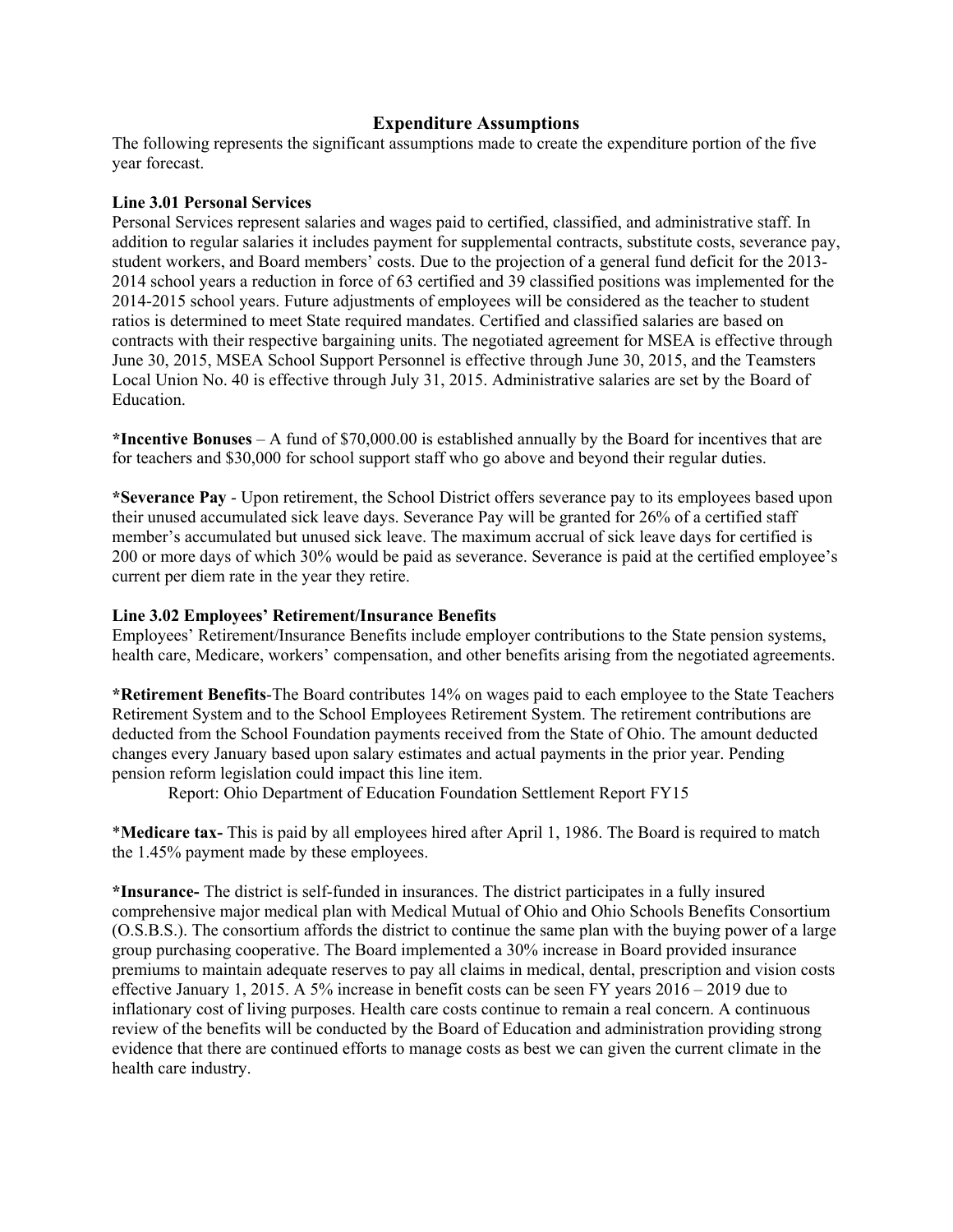## **Expenditure Assumptions**

The following represents the significant assumptions made to create the expenditure portion of the five year forecast.

#### **Line 3.01 Personal Services**

Personal Services represent salaries and wages paid to certified, classified, and administrative staff. In addition to regular salaries it includes payment for supplemental contracts, substitute costs, severance pay, student workers, and Board members' costs. Due to the projection of a general fund deficit for the 2013- 2014 school years a reduction in force of 63 certified and 39 classified positions was implemented for the 2014-2015 school years. Future adjustments of employees will be considered as the teacher to student ratios is determined to meet State required mandates. Certified and classified salaries are based on contracts with their respective bargaining units. The negotiated agreement for MSEA is effective through June 30, 2015, MSEA School Support Personnel is effective through June 30, 2015, and the Teamsters Local Union No. 40 is effective through July 31, 2015. Administrative salaries are set by the Board of Education.

**\*Incentive Bonuses** – A fund of \$70,000.00 is established annually by the Board for incentives that are for teachers and \$30,000 for school support staff who go above and beyond their regular duties.

**\*Severance Pay** - Upon retirement, the School District offers severance pay to its employees based upon their unused accumulated sick leave days. Severance Pay will be granted for 26% of a certified staff member's accumulated but unused sick leave. The maximum accrual of sick leave days for certified is 200 or more days of which 30% would be paid as severance. Severance is paid at the certified employee's current per diem rate in the year they retire.

### **Line 3.02 Employees' Retirement/Insurance Benefits**

Employees' Retirement/Insurance Benefits include employer contributions to the State pension systems, health care, Medicare, workers' compensation, and other benefits arising from the negotiated agreements.

**\*Retirement Benefits**-The Board contributes 14% on wages paid to each employee to the State Teachers Retirement System and to the School Employees Retirement System. The retirement contributions are deducted from the School Foundation payments received from the State of Ohio. The amount deducted changes every January based upon salary estimates and actual payments in the prior year. Pending pension reform legislation could impact this line item.

Report: Ohio Department of Education Foundation Settlement Report FY15

\***Medicare tax-** This is paid by all employees hired after April 1, 1986. The Board is required to match the 1.45% payment made by these employees.

**\*Insurance-** The district is self-funded in insurances. The district participates in a fully insured comprehensive major medical plan with Medical Mutual of Ohio and Ohio Schools Benefits Consortium (O.S.B.S.). The consortium affords the district to continue the same plan with the buying power of a large group purchasing cooperative. The Board implemented a 30% increase in Board provided insurance premiums to maintain adequate reserves to pay all claims in medical, dental, prescription and vision costs effective January 1, 2015. A 5% increase in benefit costs can be seen FY years 2016 – 2019 due to inflationary cost of living purposes. Health care costs continue to remain a real concern. A continuous review of the benefits will be conducted by the Board of Education and administration providing strong evidence that there are continued efforts to manage costs as best we can given the current climate in the health care industry.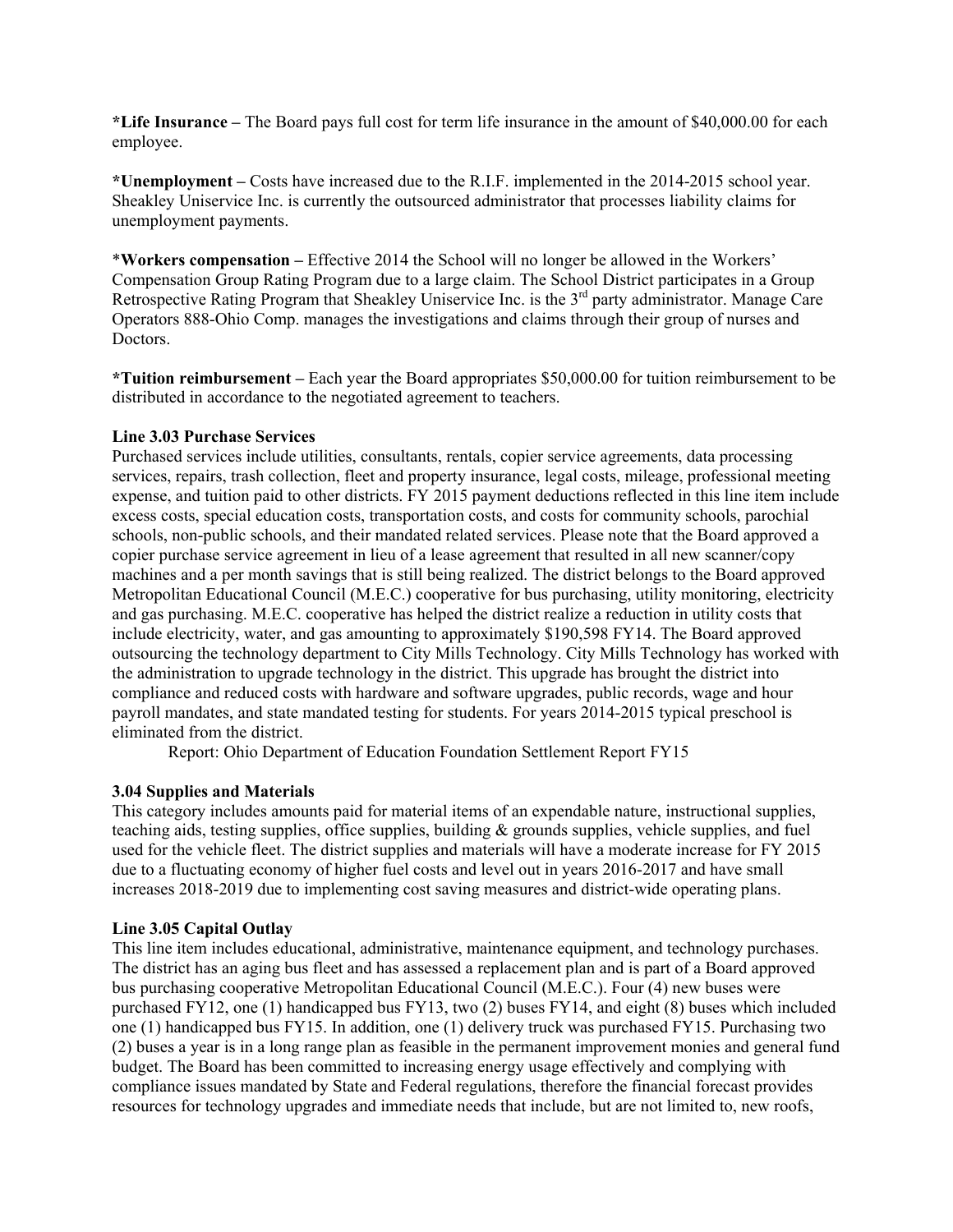**\*Life Insurance –** The Board pays full cost for term life insurance in the amount of \$40,000.00 for each employee.

**\*Unemployment –** Costs have increased due to the R.I.F. implemented in the 2014-2015 school year. Sheakley Uniservice Inc. is currently the outsourced administrator that processes liability claims for unemployment payments.

\***Workers compensation –** Effective 2014 the School will no longer be allowed in the Workers' Compensation Group Rating Program due to a large claim. The School District participates in a Group Retrospective Rating Program that Sheakley Uniservice Inc. is the 3<sup>rd</sup> party administrator. Manage Care Operators 888-Ohio Comp. manages the investigations and claims through their group of nurses and Doctors.

**\*Tuition reimbursement –** Each year the Board appropriates \$50,000.00 for tuition reimbursement to be distributed in accordance to the negotiated agreement to teachers.

## **Line 3.03 Purchase Services**

Purchased services include utilities, consultants, rentals, copier service agreements, data processing services, repairs, trash collection, fleet and property insurance, legal costs, mileage, professional meeting expense, and tuition paid to other districts. FY 2015 payment deductions reflected in this line item include excess costs, special education costs, transportation costs, and costs for community schools, parochial schools, non-public schools, and their mandated related services. Please note that the Board approved a copier purchase service agreement in lieu of a lease agreement that resulted in all new scanner/copy machines and a per month savings that is still being realized. The district belongs to the Board approved Metropolitan Educational Council (M.E.C.) cooperative for bus purchasing, utility monitoring, electricity and gas purchasing. M.E.C. cooperative has helped the district realize a reduction in utility costs that include electricity, water, and gas amounting to approximately \$190,598 FY14. The Board approved outsourcing the technology department to City Mills Technology. City Mills Technology has worked with the administration to upgrade technology in the district. This upgrade has brought the district into compliance and reduced costs with hardware and software upgrades, public records, wage and hour payroll mandates, and state mandated testing for students. For years 2014-2015 typical preschool is eliminated from the district.

Report: Ohio Department of Education Foundation Settlement Report FY15

## **3.04 Supplies and Materials**

This category includes amounts paid for material items of an expendable nature, instructional supplies, teaching aids, testing supplies, office supplies, building & grounds supplies, vehicle supplies, and fuel used for the vehicle fleet. The district supplies and materials will have a moderate increase for FY 2015 due to a fluctuating economy of higher fuel costs and level out in years 2016-2017 and have small increases 2018-2019 due to implementing cost saving measures and district-wide operating plans.

## **Line 3.05 Capital Outlay**

This line item includes educational, administrative, maintenance equipment, and technology purchases. The district has an aging bus fleet and has assessed a replacement plan and is part of a Board approved bus purchasing cooperative Metropolitan Educational Council (M.E.C.). Four (4) new buses were purchased FY12, one (1) handicapped bus FY13, two (2) buses FY14, and eight (8) buses which included one (1) handicapped bus FY15. In addition, one (1) delivery truck was purchased FY15. Purchasing two (2) buses a year is in a long range plan as feasible in the permanent improvement monies and general fund budget. The Board has been committed to increasing energy usage effectively and complying with compliance issues mandated by State and Federal regulations, therefore the financial forecast provides resources for technology upgrades and immediate needs that include, but are not limited to, new roofs,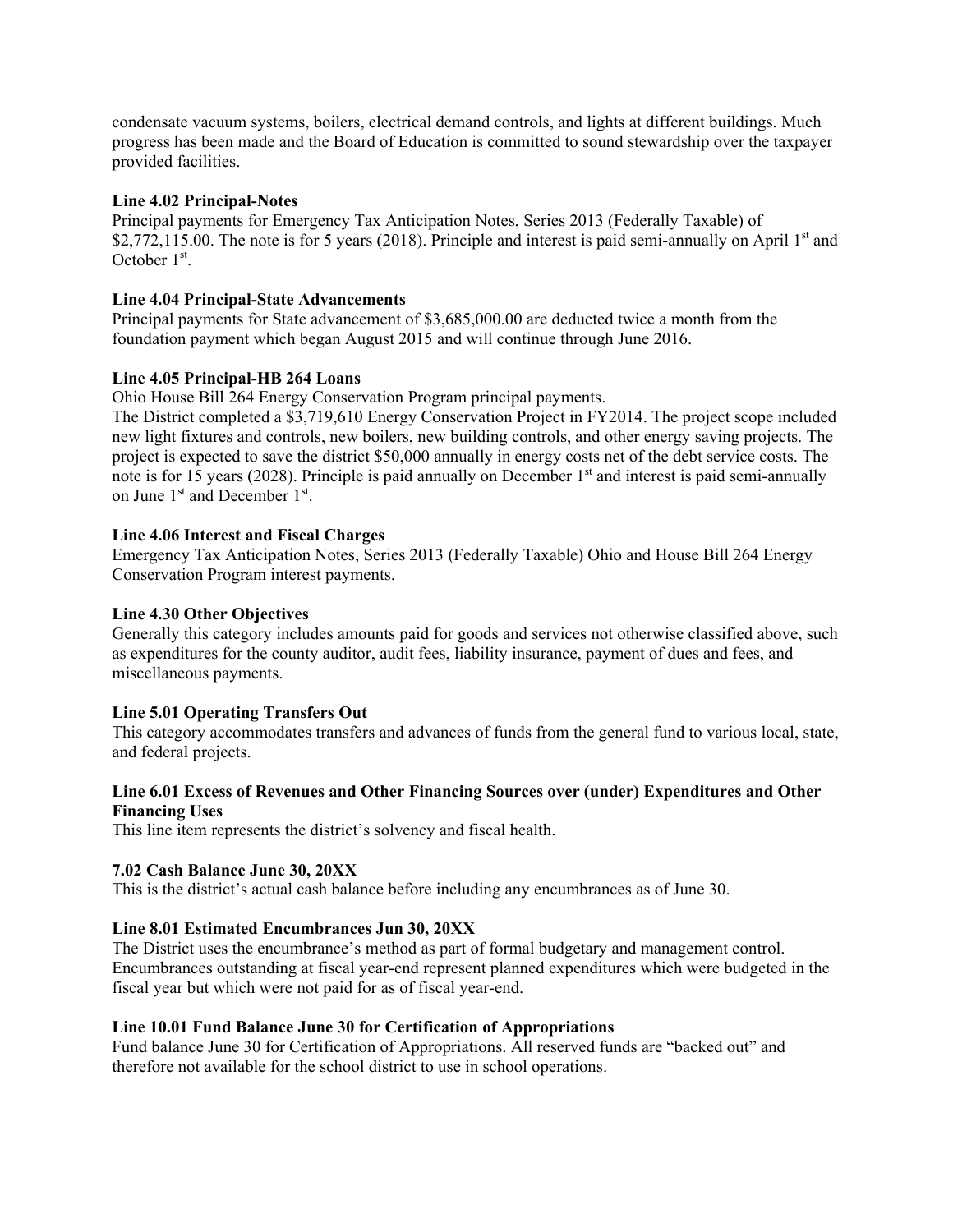condensate vacuum systems, boilers, electrical demand controls, and lights at different buildings. Much progress has been made and the Board of Education is committed to sound stewardship over the taxpayer provided facilities.

## **Line 4.02 Principal-Notes**

Principal payments for Emergency Tax Anticipation Notes, Series 2013 (Federally Taxable) of \$2,772,115.00. The note is for 5 years (2018). Principle and interest is paid semi-annually on April  $1<sup>st</sup>$  and October  $1<sup>st</sup>$ .

## **Line 4.04 Principal-State Advancements**

Principal payments for State advancement of \$3,685,000.00 are deducted twice a month from the foundation payment which began August 2015 and will continue through June 2016.

#### **Line 4.05 Principal-HB 264 Loans**

Ohio House Bill 264 Energy Conservation Program principal payments.

The District completed a \$3,719,610 Energy Conservation Project in FY2014. The project scope included new light fixtures and controls, new boilers, new building controls, and other energy saving projects. The project is expected to save the district \$50,000 annually in energy costs net of the debt service costs. The note is for 15 years (2028). Principle is paid annually on December  $1<sup>st</sup>$  and interest is paid semi-annually on June 1<sup>st</sup> and December 1<sup>st</sup>.

#### **Line 4.06 Interest and Fiscal Charges**

Emergency Tax Anticipation Notes, Series 2013 (Federally Taxable) Ohio and House Bill 264 Energy Conservation Program interest payments.

#### **Line 4.30 Other Objectives**

Generally this category includes amounts paid for goods and services not otherwise classified above, such as expenditures for the county auditor, audit fees, liability insurance, payment of dues and fees, and miscellaneous payments.

#### **Line 5.01 Operating Transfers Out**

This category accommodates transfers and advances of funds from the general fund to various local, state, and federal projects.

## **Line 6.01 Excess of Revenues and Other Financing Sources over (under) Expenditures and Other Financing Uses**

This line item represents the district's solvency and fiscal health.

## **7.02 Cash Balance June 30, 20XX**

This is the district's actual cash balance before including any encumbrances as of June 30.

## **Line 8.01 Estimated Encumbrances Jun 30, 20XX**

The District uses the encumbrance's method as part of formal budgetary and management control. Encumbrances outstanding at fiscal year-end represent planned expenditures which were budgeted in the fiscal year but which were not paid for as of fiscal year-end.

#### **Line 10.01 Fund Balance June 30 for Certification of Appropriations**

Fund balance June 30 for Certification of Appropriations. All reserved funds are "backed out" and therefore not available for the school district to use in school operations.